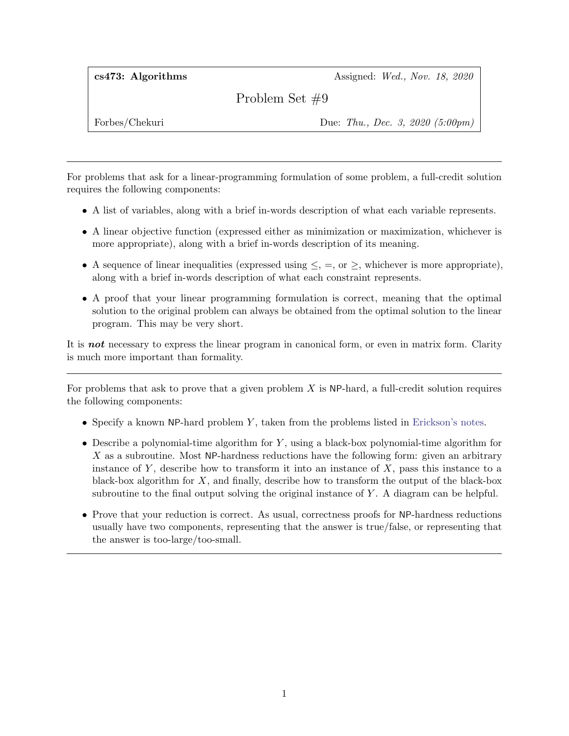cs473: Algorithms Assigned: Wed., Nov. 18, 2020

Problem Set #9

Forbes/Chekuri Due: Thu., Dec. 3, 2020 (5:00pm)

For problems that ask for a linear-programming formulation of some problem, a full-credit solution requires the following components:

- A list of variables, along with a brief in-words description of what each variable represents.
- A linear objective function (expressed either as minimization or maximization, whichever is more appropriate), along with a brief in-words description of its meaning.
- A sequence of linear inequalities (expressed using  $\leq$ ,  $=$ , or  $\geq$ , whichever is more appropriate), along with a brief in-words description of what each constraint represents.
- A proof that your linear programming formulation is correct, meaning that the optimal solution to the original problem can always be obtained from the optimal solution to the linear program. This may be very short.

It is **not** necessary to express the linear program in canonical form, or even in matrix form. Clarity is much more important than formality.

For problems that ask to prove that a given problem  $X$  is NP-hard, a full-credit solution requires the following components:

- Specify a known NP-hard problem  $Y$ , taken from the problems listed in [Erickson's notes.](http://jeffe.cs.illinois.edu/teaching/algorithms/book/12-nphard.pdf)
- Describe a polynomial-time algorithm for  $Y$ , using a black-box polynomial-time algorithm for  $X$  as a subroutine. Most NP-hardness reductions have the following form: given an arbitrary instance of Y, describe how to transform it into an instance of  $X$ , pass this instance to a black-box algorithm for  $X$ , and finally, describe how to transform the output of the black-box subroutine to the final output solving the original instance of Y . A diagram can be helpful.
- Prove that your reduction is correct. As usual, correctness proofs for NP-hardness reductions usually have two components, representing that the answer is true/false, or representing that the answer is too-large/too-small.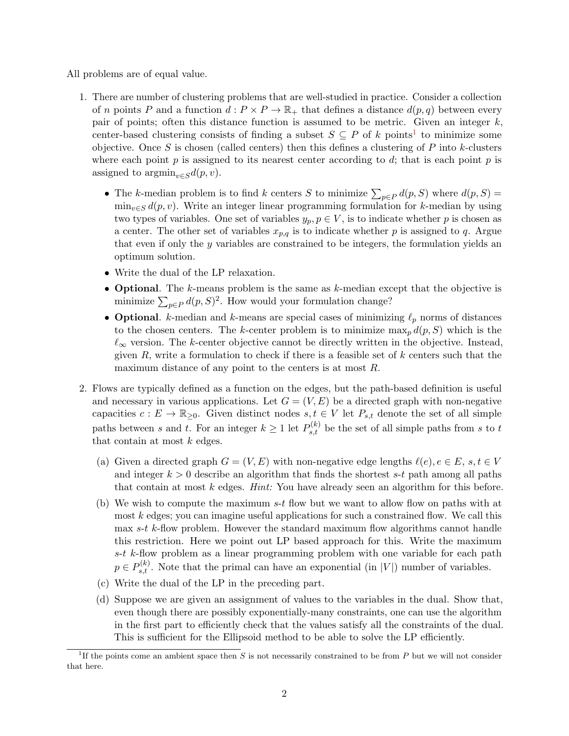All problems are of equal value.

- 1. There are number of clustering problems that are well-studied in practice. Consider a collection of n points P and a function  $d : P \times P \to \mathbb{R}_+$  that defines a distance  $d(p,q)$  between every pair of points; often this distance function is assumed to be metric. Given an integer  $k$ , center-based clustering consists of finding a subset  $S \subseteq P$  of k points<sup>[1](#page-1-0)</sup> to minimize some objective. Once  $S$  is chosen (called centers) then this defines a clustering of  $P$  into k-clusters where each point  $p$  is assigned to its nearest center according to  $d$ ; that is each point  $p$  is assigned to  $\operatorname{argmin}_{v \in S} d(p, v)$ .
	- The k-median problem is to find k centers S to minimize  $\sum_{p\in P} d(p, S)$  where  $d(p, S)$  $\min_{v \in S} d(p, v)$ . Write an integer linear programming formulation for k-median by using two types of variables. One set of variables  $y_p, p \in V$ , is to indicate whether p is chosen as a center. The other set of variables  $x_{p,q}$  is to indicate whether p is assigned to q. Argue that even if only the y variables are constrained to be integers, the formulation yields an optimum solution.
	- Write the dual of the LP relaxation.
	- Optional. The k-means problem is the same as k-median except that the objective is minimize  $\sum_{p\in P} d(p, S)^2$ . How would your formulation change?
	- Optional. k-median and k-means are special cases of minimizing  $\ell_p$  norms of distances to the chosen centers. The k-center problem is to minimize  $\max_p d(p, S)$  which is the  $\ell_{\infty}$  version. The k-center objective cannot be directly written in the objective. Instead, given  $R$ , write a formulation to check if there is a feasible set of  $k$  centers such that the maximum distance of any point to the centers is at most R.
- 2. Flows are typically defined as a function on the edges, but the path-based definition is useful and necessary in various applications. Let  $G = (V, E)$  be a directed graph with non-negative capacities  $c : E \to \mathbb{R}_{\geq 0}$ . Given distinct nodes  $s, t \in V$  let  $P_{s,t}$  denote the set of all simple paths between s and t. For an integer  $k \geq 1$  let  $P_{s,t}^{(k)}$  be the set of all simple paths from s to t that contain at most  $k$  edges.
	- (a) Given a directed graph  $G = (V, E)$  with non-negative edge lengths  $\ell(e), e \in E$ , s,  $t \in V$ and integer  $k > 0$  describe an algorithm that finds the shortest s-t path among all paths that contain at most k edges. Hint: You have already seen an algorithm for this before.
	- (b) We wish to compute the maximum s-t flow but we want to allow flow on paths with at most  $k$  edges; you can imagine useful applications for such a constrained flow. We call this max s-t k-flow problem. However the standard maximum flow algorithms cannot handle this restriction. Here we point out LP based approach for this. Write the maximum  $s-t$  k-flow problem as a linear programming problem with one variable for each path  $p \in P_{s,t}^{(k)}$ . Note that the primal can have an exponential (in |V|) number of variables.
	- (c) Write the dual of the LP in the preceding part.
	- (d) Suppose we are given an assignment of values to the variables in the dual. Show that, even though there are possibly exponentially-many constraints, one can use the algorithm in the first part to efficiently check that the values satisfy all the constraints of the dual. This is sufficient for the Ellipsoid method to be able to solve the LP efficiently.

<span id="page-1-0"></span><sup>&</sup>lt;sup>1</sup>If the points come an ambient space then S is not necessarily constrained to be from P but we will not consider that here.